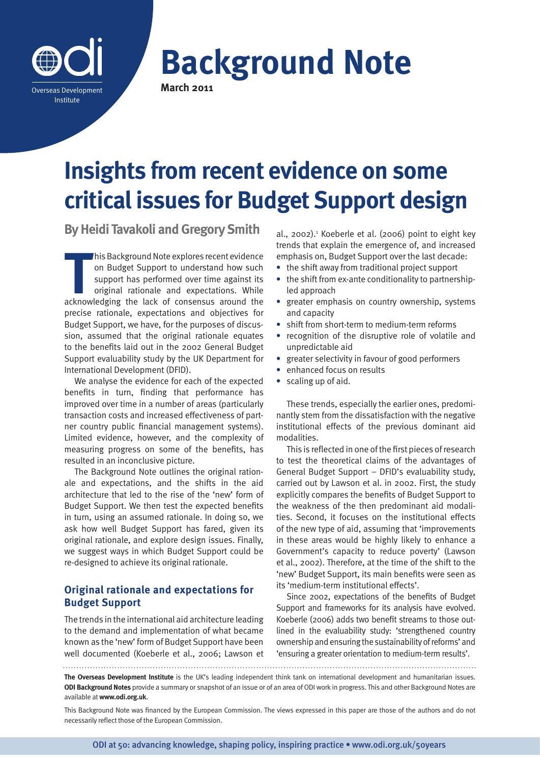

# **Background Note March 2011**

# **Insights from recent evidence on some critical issues for Budget Support design**

**By Heidi Tavakoli and Gregory Smith**

This Background Note explores recent evidence<br>
on Budget Support to understand how such<br>
support has performed over time against its<br>
original rationale and expectations. While<br>
acknowledging the lack of consensus around t his Background Note explores recent evidence on Budget Support to understand how such support has performed over time against its original rationale and expectations. While precise rationale, expectations and objectives for Budget Support, we have, for the purposes of discussion, assumed that the original rationale equates to the benefits laid out in the 2002 General Budget Support evaluability study by the UK Department for International Development (DFID).

We analyse the evidence for each of the expected benefits in turn, finding that performance has improved over time in a number of areas (particularly transaction costs and increased effectiveness of partner country public financial management systems). Limited evidence, however, and the complexity of measuring progress on some of the benefits, has resulted in an inconclusive picture.

The Background Note outlines the original rationale and expectations, and the shifts in the aid architecture that led to the rise of the 'new' form of Budget Support. We then test the expected benefits in turn, using an assumed rationale. In doing so, we ask how well Budget Support has fared, given its original rationale, and explore design issues. Finally, we suggest ways in which Budget Support could be re-designed to achieve its original rationale.

# **Original rationale and expectations for Budget Support**

The trends in the international aid architecture leading to the demand and implementation of what became known as the 'new' form of Budget Support have been well documented (Koeberle et al., 2006; Lawson et al., 2002).<sup>1</sup> Koeberle et al. (2006) point to eight key trends that explain the emergence of, and increased emphasis on, Budget Support over the last decade:

- **•** the shift away from traditional project support
- **•** the shift from ex-ante conditionality to partnershipled approach
- **•** greater emphasis on country ownership, systems and capacity
- **•** shift from short-term to medium-term reforms
- **•** recognition of the disruptive role of volatile and unpredictable aid
- **•** greater selectivity in favour of good performers
- **•** enhanced focus on results
- **•** scaling up of aid.

These trends, especially the earlier ones, predominantly stem from the dissatisfaction with the negative institutional effects of the previous dominant aid modalities.

This is reflected in one of the first pieces of research to test the theoretical claims of the advantages of General Budget Support – DFID's evaluability study, carried out by Lawson et al. in 2002. First, the study explicitly compares the benefits of Budget Support to the weakness of the then predominant aid modalities. Second, it focuses on the institutional effects of the new type of aid, assuming that 'improvements in these areas would be highly likely to enhance a Government's capacity to reduce poverty' (Lawson et al., 2002). Therefore, at the time of the shift to the 'new' Budget Support, its main benefits were seen as its 'medium-term institutional effects'.

Since 2002, expectations of the benefits of Budget Support and frameworks for its analysis have evolved. Koeberle (2006) adds two benefit streams to those outlined in the evaluability study: 'strengthened country ownership and ensuring the sustainability of reforms' and 'ensuring a greater orientation to medium-term results'.

**The Overseas Development Institute** is the UK's leading independent think tank on international development and humanitarian issues. **ODI Background Notes** provide a summary or snapshot of an issue or of an area of ODI work in progress. This and other Background Notes are available at **www.odi.org.uk**.

This Background Note was financed by the European Commission. The views expressed in this paper are those of the authors and do not necessarily reflect those of the European Commission.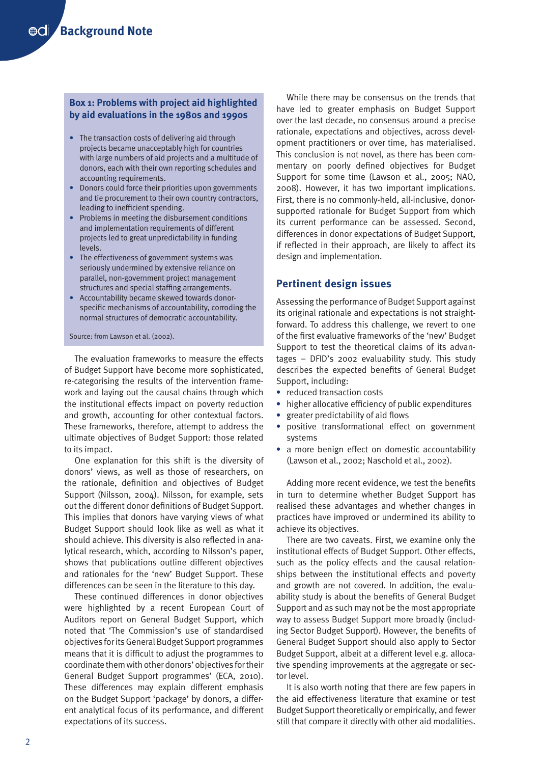# **Box 1: Problems with project aid highlighted by aid evaluations in the 1980s and 1990s**

- The transaction costs of delivering aid through projects became unacceptably high for countries with large numbers of aid projects and a multitude of donors, each with their own reporting schedules and accounting requirements.
- Donors could force their priorities upon governments and tie procurement to their own country contractors, leading to inefficient spending.
- Problems in meeting the disbursement conditions and implementation requirements of different projects led to great unpredictability in funding levels.
- The effectiveness of government systems was seriously undermined by extensive reliance on parallel, non-government project management structures and special staffing arrangements.
- Accountability became skewed towards donorspecific mechanisms of accountability, corroding the normal structures of democratic accountability.

#### Source: from Lawson et al. (2002).

The evaluation frameworks to measure the effects of Budget Support have become more sophisticated, re-categorising the results of the intervention framework and laying out the causal chains through which the institutional effects impact on poverty reduction and growth, accounting for other contextual factors. These frameworks, therefore, attempt to address the ultimate objectives of Budget Support: those related to its impact.

One explanation for this shift is the diversity of donors' views, as well as those of researchers, on the rationale, definition and objectives of Budget Support (Nilsson, 2004). Nilsson, for example, sets out the different donor definitions of Budget Support. This implies that donors have varying views of what Budget Support should look like as well as what it should achieve. This diversity is also reflected in analytical research, which, according to Nilsson's paper, shows that publications outline different objectives and rationales for the 'new' Budget Support. These differences can be seen in the literature to this day.

These continued differences in donor objectives were highlighted by a recent European Court of Auditors report on General Budget Support, which noted that 'The Commission's use of standardised objectives for its General Budget Support programmes means that it is difficult to adjust the programmes to coordinate them with other donors' objectives for their General Budget Support programmes' (ECA, 2010). These differences may explain different emphasis on the Budget Support 'package' by donors, a different analytical focus of its performance, and different expectations of its success.

While there may be consensus on the trends that have led to greater emphasis on Budget Support over the last decade, no consensus around a precise rationale, expectations and objectives, across development practitioners or over time, has materialised. This conclusion is not novel, as there has been commentary on poorly defined objectives for Budget Support for some time (Lawson et al., 2005; NAO, 2008). However, it has two important implications. First, there is no commonly-held, all-inclusive, donorsupported rationale for Budget Support from which its current performance can be assessed. Second, differences in donor expectations of Budget Support, if reflected in their approach, are likely to affect its design and implementation.

# **Pertinent design issues**

Assessing the performance of Budget Support against its original rationale and expectations is not straightforward. To address this challenge, we revert to one of the first evaluative frameworks of the 'new' Budget Support to test the theoretical claims of its advantages – DFID's 2002 evaluability study. This study describes the expected benefits of General Budget Support, including:

- **•** reduced transaction costs
- **•** higher allocative efficiency of public expenditures
- **•** greater predictability of aid flows
- **•** positive transformational effect on government systems
- **•** a more benign effect on domestic accountability (Lawson et al., 2002; Naschold et al., 2002).

Adding more recent evidence, we test the benefits in turn to determine whether Budget Support has realised these advantages and whether changes in practices have improved or undermined its ability to achieve its objectives.

There are two caveats. First, we examine only the institutional effects of Budget Support. Other effects, such as the policy effects and the causal relationships between the institutional effects and poverty and growth are not covered. In addition, the evaluability study is about the benefits of General Budget Support and as such may not be the most appropriate way to assess Budget Support more broadly (including Sector Budget Support). However, the benefits of General Budget Support should also apply to Sector Budget Support, albeit at a different level e.g. allocative spending improvements at the aggregate or sector level.

It is also worth noting that there are few papers in the aid effectiveness literature that examine or test Budget Support theoretically or empirically, and fewer still that compare it directly with other aid modalities.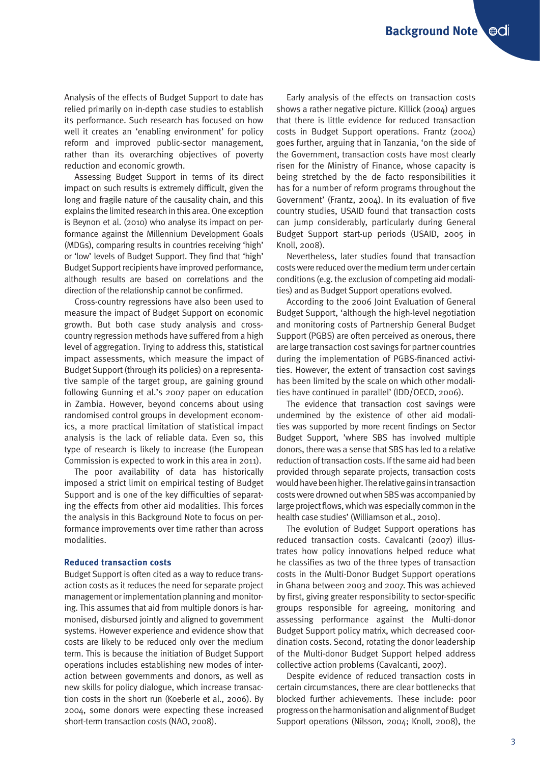Analysis of the effects of Budget Support to date has relied primarily on in-depth case studies to establish its performance. Such research has focused on how well it creates an 'enabling environment' for policy reform and improved public-sector management, rather than its overarching objectives of poverty reduction and economic growth.

Assessing Budget Support in terms of its direct impact on such results is extremely difficult, given the long and fragile nature of the causality chain, and this explains the limited research in this area. One exception is Beynon et al. (2010) who analyse its impact on performance against the Millennium Development Goals (MDGs), comparing results in countries receiving 'high' or 'low' levels of Budget Support. They find that 'high' Budget Support recipients have improved performance, although results are based on correlations and the direction of the relationship cannot be confirmed.

Cross-country regressions have also been used to measure the impact of Budget Support on economic growth. But both case study analysis and crosscountry regression methods have suffered from a high level of aggregation. Trying to address this, statistical impact assessments, which measure the impact of Budget Support (through its policies) on a representative sample of the target group, are gaining ground following Gunning et al.'s 2007 paper on education in Zambia. However, beyond concerns about using randomised control groups in development economics, a more practical limitation of statistical impact analysis is the lack of reliable data. Even so, this type of research is likely to increase (the European Commission is expected to work in this area in 2011).

The poor availability of data has historically imposed a strict limit on empirical testing of Budget Support and is one of the key difficulties of separating the effects from other aid modalities. This forces the analysis in this Background Note to focus on performance improvements over time rather than across modalities.

#### **Reduced transaction costs**

Budget Support is often cited as a way to reduce transaction costs as it reduces the need for separate project management or implementation planning and monitoring. This assumes that aid from multiple donors is harmonised, disbursed jointly and aligned to government systems. However experience and evidence show that costs are likely to be reduced only over the medium term. This is because the initiation of Budget Support operations includes establishing new modes of interaction between governments and donors, as well as new skills for policy dialogue, which increase transaction costs in the short run (Koeberle et al., 2006). By 2004, some donors were expecting these increased short-term transaction costs (NAO, 2008).

Early analysis of the effects on transaction costs shows a rather negative picture. Killick (2004) argues that there is little evidence for reduced transaction costs in Budget Support operations. Frantz (2004) goes further, arguing that in Tanzania, 'on the side of the Government, transaction costs have most clearly risen for the Ministry of Finance, whose capacity is being stretched by the de facto responsibilities it has for a number of reform programs throughout the Government' (Frantz, 2004). In its evaluation of five country studies, USAID found that transaction costs can jump considerably, particularly during General Budget Support start-up periods (USAID, 2005 in Knoll, 2008).

Nevertheless, later studies found that transaction costs were reduced over the medium term under certain conditions (e.g. the exclusion of competing aid modalities) and as Budget Support operations evolved.

According to the 2006 Joint Evaluation of General Budget Support, 'although the high-level negotiation and monitoring costs of Partnership General Budget Support (PGBS) are often perceived as onerous, there are large transaction cost savings for partner countries during the implementation of PGBS-financed activities. However, the extent of transaction cost savings has been limited by the scale on which other modalities have continued in parallel' (IDD/OECD, 2006).

The evidence that transaction cost savings were undermined by the existence of other aid modalities was supported by more recent findings on Sector Budget Support, 'where SBS has involved multiple donors, there was a sense that SBS has led to a relative reduction of transaction costs. If the same aid had been provided through separate projects, transaction costs would have been higher. The relative gains in transaction costs were drowned out when SBS was accompanied by large project flows, which was especially common in the health case studies' (Williamson et al., 2010).

The evolution of Budget Support operations has reduced transaction costs. Cavalcanti (2007) illustrates how policy innovations helped reduce what he classifies as two of the three types of transaction costs in the Multi-Donor Budget Support operations in Ghana between 2003 and 2007. This was achieved by first, giving greater responsibility to sector-specific groups responsible for agreeing, monitoring and assessing performance against the Multi-donor Budget Support policy matrix, which decreased coordination costs. Second, rotating the donor leadership of the Multi-donor Budget Support helped address collective action problems (Cavalcanti, 2007).

Despite evidence of reduced transaction costs in certain circumstances, there are clear bottlenecks that blocked further achievements. These include: poor progress on the harmonisation and alignment of Budget Support operations (Nilsson, 2004; Knoll, 2008), the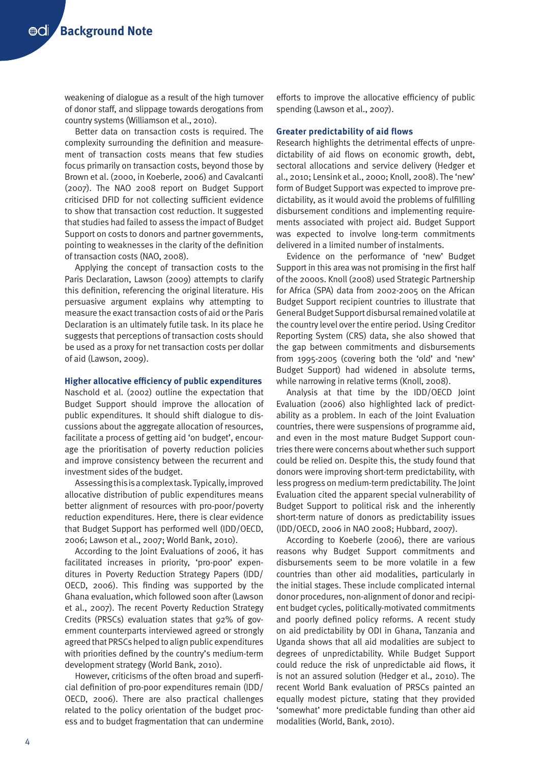weakening of dialogue as a result of the high turnover of donor staff, and slippage towards derogations from country systems (Williamson et al., 2010).

Better data on transaction costs is required. The complexity surrounding the definition and measurement of transaction costs means that few studies focus primarily on transaction costs, beyond those by Brown et al. (2000, in Koeberle, 2006) and Cavalcanti (2007). The NAO 2008 report on Budget Support criticised DFID for not collecting sufficient evidence to show that transaction cost reduction. It suggested that studies had failed to assess the impact of Budget Support on costs to donors and partner governments, pointing to weaknesses in the clarity of the definition of transaction costs (NAO, 2008).

Applying the concept of transaction costs to the Paris Declaration, Lawson (2009) attempts to clarify this definition, referencing the original literature. His persuasive argument explains why attempting to measure the exact transaction costs of aid or the Paris Declaration is an ultimately futile task. In its place he suggests that perceptions of transaction costs should be used as a proxy for net transaction costs per dollar of aid (Lawson, 2009).

#### **Higher allocative efficiency of public expenditures**

Naschold et al. (2002) outline the expectation that Budget Support should improve the allocation of public expenditures. It should shift dialogue to discussions about the aggregate allocation of resources, facilitate a process of getting aid 'on budget', encourage the prioritisation of poverty reduction policies and improve consistency between the recurrent and investment sides of the budget.

Assessing this is a complex task. Typically, improved allocative distribution of public expenditures means better alignment of resources with pro-poor/poverty reduction expenditures. Here, there is clear evidence that Budget Support has performed well (IDD/OECD, 2006; Lawson et al., 2007; World Bank, 2010).

According to the Joint Evaluations of 2006, it has facilitated increases in priority, 'pro-poor' expenditures in Poverty Reduction Strategy Papers (IDD/ OECD, 2006). This finding was supported by the Ghana evaluation, which followed soon after (Lawson et al., 2007). The recent Poverty Reduction Strategy Credits (PRSCs) evaluation states that 92% of government counterparts interviewed agreed or strongly agreed that PRSCs helped to align public expenditures with priorities defined by the country's medium-term development strategy (World Bank, 2010).

However, criticisms of the often broad and superficial definition of pro-poor expenditures remain (IDD/ OECD, 2006). There are also practical challenges related to the policy orientation of the budget process and to budget fragmentation that can undermine efforts to improve the allocative efficiency of public spending (Lawson et al., 2007).

#### **Greater predictability of aid flows**

Research highlights the detrimental effects of unpredictability of aid flows on economic growth, debt, sectoral allocations and service delivery (Hedger et al., 2010; Lensink et al., 2000; Knoll, 2008). The 'new' form of Budget Support was expected to improve predictability, as it would avoid the problems of fulfilling disbursement conditions and implementing requirements associated with project aid. Budget Support was expected to involve long-term commitments delivered in a limited number of instalments.

Evidence on the performance of 'new' Budget Support in this area was not promising in the first half of the 2000s. Knoll (2008) used Strategic Partnership for Africa (SPA) data from 2002-2005 on the African Budget Support recipient countries to illustrate that General Budget Support disbursal remained volatile at the country level over the entire period. Using Creditor Reporting System (CRS) data, she also showed that the gap between commitments and disbursements from 1995-2005 (covering both the 'old' and 'new' Budget Support) had widened in absolute terms, while narrowing in relative terms (Knoll, 2008).

Analysis at that time by the IDD/OECD Joint Evaluation (2006) also highlighted lack of predictability as a problem. In each of the Joint Evaluation countries, there were suspensions of programme aid, and even in the most mature Budget Support countries there were concerns about whether such support could be relied on. Despite this, the study found that donors were improving short-term predictability, with less progress on medium-term predictability. The Joint Evaluation cited the apparent special vulnerability of Budget Support to political risk and the inherently short-term nature of donors as predictability issues (IDD/OECD, 2006 in NAO 2008; Hubbard, 2007).

According to Koeberle (2006), there are various reasons why Budget Support commitments and disbursements seem to be more volatile in a few countries than other aid modalities, particularly in the initial stages. These include complicated internal donor procedures, non-alignment of donor and recipient budget cycles, politically-motivated commitments and poorly defined policy reforms. A recent study on aid predictability by ODI in Ghana, Tanzania and Uganda shows that all aid modalities are subject to degrees of unpredictability. While Budget Support could reduce the risk of unpredictable aid flows, it is not an assured solution (Hedger et al., 2010). The recent World Bank evaluation of PRSCs painted an equally modest picture, stating that they provided 'somewhat' more predictable funding than other aid modalities (World, Bank, 2010).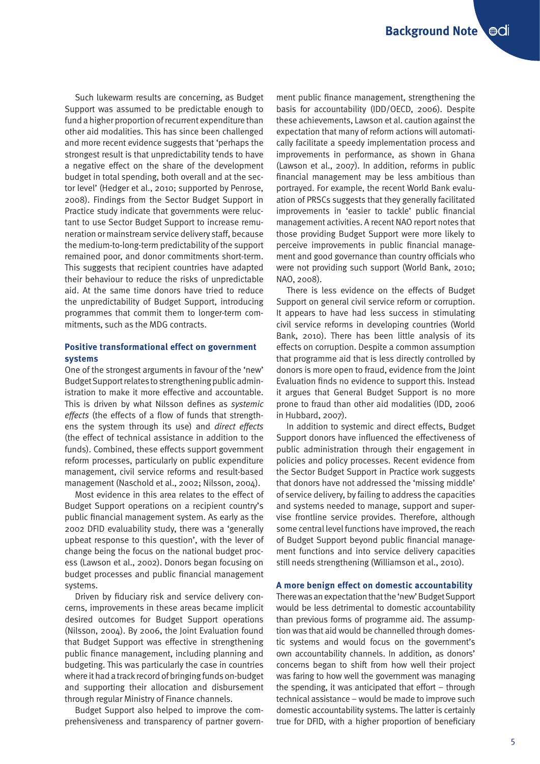Such lukewarm results are concerning, as Budget Support was assumed to be predictable enough to fund a higher proportion of recurrent expenditure than other aid modalities. This has since been challenged and more recent evidence suggests that 'perhaps the strongest result is that unpredictability tends to have a negative effect on the share of the development budget in total spending, both overall and at the sector level' (Hedger et al., 2010; supported by Penrose, 2008). Findings from the Sector Budget Support in Practice study indicate that governments were reluctant to use Sector Budget Support to increase remuneration or mainstream service delivery staff, because the medium-to-long-term predictability of the support remained poor, and donor commitments short-term. This suggests that recipient countries have adapted their behaviour to reduce the risks of unpredictable aid. At the same time donors have tried to reduce the unpredictability of Budget Support, introducing programmes that commit them to longer-term commitments, such as the MDG contracts.

# **Positive transformational effect on government systems**

One of the strongest arguments in favour of the 'new' Budget Support relates to strengthening public administration to make it more effective and accountable. This is driven by what Nilsson defines as *systemic effects* (the effects of a flow of funds that strengthens the system through its use) and *direct effects*  (the effect of technical assistance in addition to the funds). Combined, these effects support government reform processes, particularly on public expenditure management, civil service reforms and result-based management (Naschold et al., 2002; Nilsson, 2004).

Most evidence in this area relates to the effect of Budget Support operations on a recipient country's public financial management system. As early as the 2002 DFID evaluability study, there was a 'generally upbeat response to this question', with the lever of change being the focus on the national budget process (Lawson et al., 2002). Donors began focusing on budget processes and public financial management systems.

Driven by fiduciary risk and service delivery concerns, improvements in these areas became implicit desired outcomes for Budget Support operations (Nilsson, 2004). By 2006, the Joint Evaluation found that Budget Support was effective in strengthening public finance management, including planning and budgeting. This was particularly the case in countries where it had a track record of bringing funds on-budget and supporting their allocation and disbursement through regular Ministry of Finance channels.

Budget Support also helped to improve the comprehensiveness and transparency of partner govern-

ment public finance management, strengthening the basis for accountability (IDD/OECD, 2006). Despite these achievements, Lawson et al. caution against the expectation that many of reform actions will automatically facilitate a speedy implementation process and improvements in performance, as shown in Ghana (Lawson et al., 2007). In addition, reforms in public financial management may be less ambitious than portrayed. For example, the recent World Bank evaluation of PRSCs suggests that they generally facilitated improvements in 'easier to tackle' public financial management activities. A recent NAO report notes that those providing Budget Support were more likely to perceive improvements in public financial management and good governance than country officials who were not providing such support (World Bank, 2010; NAO, 2008).

There is less evidence on the effects of Budget Support on general civil service reform or corruption. It appears to have had less success in stimulating civil service reforms in developing countries (World Bank, 2010). There has been little analysis of its effects on corruption. Despite a common assumption that programme aid that is less directly controlled by donors is more open to fraud, evidence from the Joint Evaluation finds no evidence to support this. Instead it argues that General Budget Support is no more prone to fraud than other aid modalities (IDD, 2006 in Hubbard, 2007).

In addition to systemic and direct effects, Budget Support donors have influenced the effectiveness of public administration through their engagement in policies and policy processes. Recent evidence from the Sector Budget Support in Practice work suggests that donors have not addressed the 'missing middle' of service delivery, by failing to address the capacities and systems needed to manage, support and supervise frontline service provides. Therefore, although some central level functions have improved, the reach of Budget Support beyond public financial management functions and into service delivery capacities still needs strengthening (Williamson et al., 2010).

## **A more benign effect on domestic accountability**

There was an expectation that the 'new' Budget Support would be less detrimental to domestic accountability than previous forms of programme aid. The assumption was that aid would be channelled through domestic systems and would focus on the government's own accountability channels. In addition, as donors' concerns began to shift from how well their project was faring to how well the government was managing the spending, it was anticipated that effort – through technical assistance – would be made to improve such domestic accountability systems. The latter is certainly true for DFID, with a higher proportion of beneficiary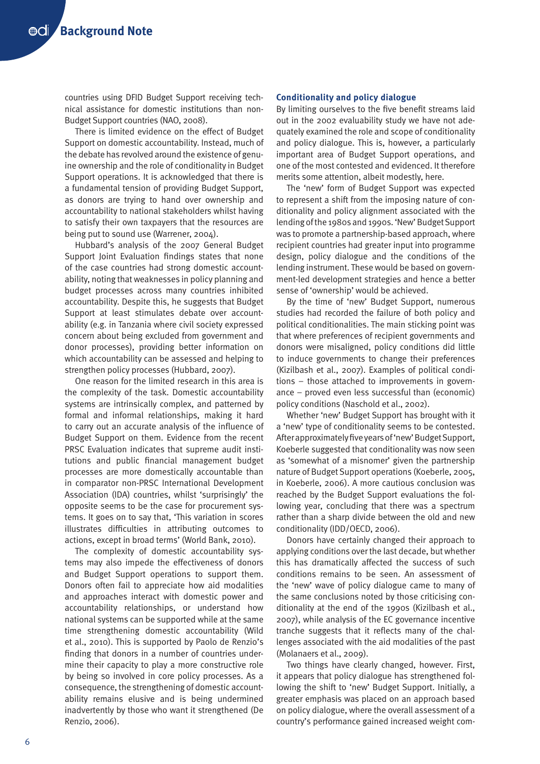countries using DFID Budget Support receiving technical assistance for domestic institutions than non-Budget Support countries (NAO, 2008).

There is limited evidence on the effect of Budget Support on domestic accountability. Instead, much of the debate has revolved around the existence of genuine ownership and the role of conditionality in Budget Support operations. It is acknowledged that there is a fundamental tension of providing Budget Support, as donors are trying to hand over ownership and accountability to national stakeholders whilst having to satisfy their own taxpayers that the resources are being put to sound use (Warrener, 2004).

Hubbard's analysis of the 2007 General Budget Support Joint Evaluation findings states that none of the case countries had strong domestic accountability, noting that weaknesses in policy planning and budget processes across many countries inhibited accountability. Despite this, he suggests that Budget Support at least stimulates debate over accountability (e.g. in Tanzania where civil society expressed concern about being excluded from government and donor processes), providing better information on which accountability can be assessed and helping to strengthen policy processes (Hubbard, 2007).

One reason for the limited research in this area is the complexity of the task. Domestic accountability systems are intrinsically complex, and patterned by formal and informal relationships, making it hard to carry out an accurate analysis of the influence of Budget Support on them. Evidence from the recent PRSC Evaluation indicates that supreme audit institutions and public financial management budget processes are more domestically accountable than in comparator non-PRSC International Development Association (IDA) countries, whilst 'surprisingly' the opposite seems to be the case for procurement systems. It goes on to say that, 'This variation in scores illustrates difficulties in attributing outcomes to actions, except in broad terms' (World Bank, 2010).

The complexity of domestic accountability systems may also impede the effectiveness of donors and Budget Support operations to support them. Donors often fail to appreciate how aid modalities and approaches interact with domestic power and accountability relationships, or understand how national systems can be supported while at the same time strengthening domestic accountability (Wild et al., 2010). This is supported by Paolo de Renzio's finding that donors in a number of countries undermine their capacity to play a more constructive role by being so involved in core policy processes. As a consequence, the strengthening of domestic accountability remains elusive and is being undermined inadvertently by those who want it strengthened (De Renzio, 2006).

## **Conditionality and policy dialogue**

By limiting ourselves to the five benefit streams laid out in the 2002 evaluability study we have not adequately examined the role and scope of conditionality and policy dialogue. This is, however, a particularly important area of Budget Support operations, and one of the most contested and evidenced. It therefore merits some attention, albeit modestly, here.

The 'new' form of Budget Support was expected to represent a shift from the imposing nature of conditionality and policy alignment associated with the lending of the 1980s and 1990s. 'New' Budget Support was to promote a partnership-based approach, where recipient countries had greater input into programme design, policy dialogue and the conditions of the lending instrument. These would be based on government-led development strategies and hence a better sense of 'ownership' would be achieved.

By the time of 'new' Budget Support, numerous studies had recorded the failure of both policy and political conditionalities. The main sticking point was that where preferences of recipient governments and donors were misaligned, policy conditions did little to induce governments to change their preferences (Kizilbash et al., 2007). Examples of political conditions – those attached to improvements in governance – proved even less successful than (economic) policy conditions (Naschold et al., 2002).

Whether 'new' Budget Support has brought with it a 'new' type of conditionality seems to be contested. After approximately five years of 'new' Budget Support, Koeberle suggested that conditionality was now seen as 'somewhat of a misnomer' given the partnership nature of Budget Support operations (Koeberle, 2005, in Koeberle, 2006). A more cautious conclusion was reached by the Budget Support evaluations the following year, concluding that there was a spectrum rather than a sharp divide between the old and new conditionality (IDD/OECD, 2006).

Donors have certainly changed their approach to applying conditions over the last decade, but whether this has dramatically affected the success of such conditions remains to be seen. An assessment of the 'new' wave of policy dialogue came to many of the same conclusions noted by those criticising conditionality at the end of the 1990s (Kizilbash et al., 2007), while analysis of the EC governance incentive tranche suggests that it reflects many of the challenges associated with the aid modalities of the past (Molanaers et al., 2009).

Two things have clearly changed, however. First, it appears that policy dialogue has strengthened following the shift to 'new' Budget Support. Initially, a greater emphasis was placed on an approach based on policy dialogue, where the overall assessment of a country's performance gained increased weight com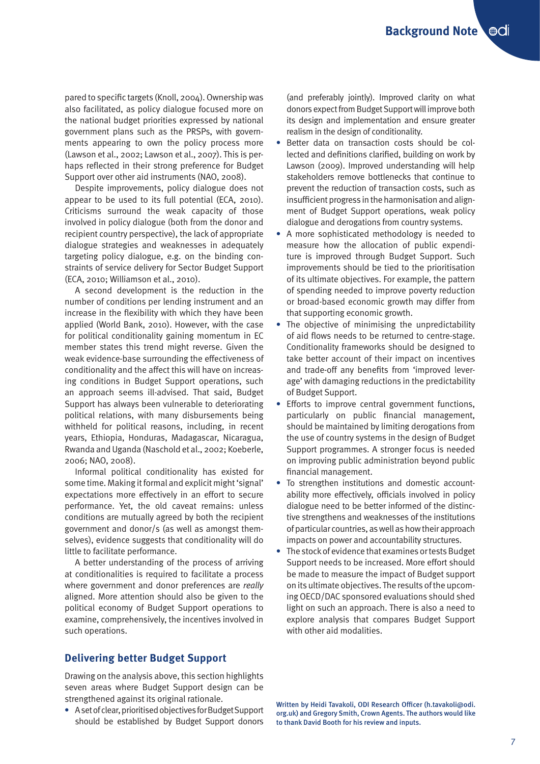pared to specific targets (Knoll, 2004). Ownership was also facilitated, as policy dialogue focused more on the national budget priorities expressed by national government plans such as the PRSPs, with governments appearing to own the policy process more (Lawson et al., 2002; Lawson et al., 2007). This is perhaps reflected in their strong preference for Budget Support over other aid instruments (NAO, 2008).

Despite improvements, policy dialogue does not appear to be used to its full potential (ECA, 2010). Criticisms surround the weak capacity of those involved in policy dialogue (both from the donor and recipient country perspective), the lack of appropriate dialogue strategies and weaknesses in adequately targeting policy dialogue, e.g. on the binding constraints of service delivery for Sector Budget Support (ECA, 2010; Williamson et al., 2010).

A second development is the reduction in the number of conditions per lending instrument and an increase in the flexibility with which they have been applied (World Bank, 2010). However, with the case for political conditionality gaining momentum in EC member states this trend might reverse. Given the weak evidence-base surrounding the effectiveness of conditionality and the affect this will have on increasing conditions in Budget Support operations, such an approach seems ill-advised. That said, Budget Support has always been vulnerable to deteriorating political relations, with many disbursements being withheld for political reasons, including, in recent years, Ethiopia, Honduras, Madagascar, Nicaragua, Rwanda and Uganda (Naschold et al., 2002; Koeberle, 2006; NAO, 2008).

Informal political conditionality has existed for some time. Making it formal and explicit might 'signal' expectations more effectively in an effort to secure performance. Yet, the old caveat remains: unless conditions are mutually agreed by both the recipient government and donor/s (as well as amongst themselves), evidence suggests that conditionality will do little to facilitate performance.

A better understanding of the process of arriving at conditionalities is required to facilitate a process where government and donor preferences are *really* aligned. More attention should also be given to the political economy of Budget Support operations to examine, comprehensively, the incentives involved in such operations.

# **Delivering better Budget Support**

Drawing on the analysis above, this section highlights seven areas where Budget Support design can be strengthened against its original rationale.

**•** A set of clear, prioritised objectives for Budget Support should be established by Budget Support donors (and preferably jointly). Improved clarity on what donors expect from Budget Support will improve both its design and implementation and ensure greater realism in the design of conditionality.

- **•** Better data on transaction costs should be collected and definitions clarified, building on work by Lawson (2009). Improved understanding will help stakeholders remove bottlenecks that continue to prevent the reduction of transaction costs, such as insufficient progress in the harmonisation and alignment of Budget Support operations, weak policy dialogue and derogations from country systems.
- **•** A more sophisticated methodology is needed to measure how the allocation of public expenditure is improved through Budget Support. Such improvements should be tied to the prioritisation of its ultimate objectives. For example, the pattern of spending needed to improve poverty reduction or broad-based economic growth may differ from that supporting economic growth.
- **•** The objective of minimising the unpredictability of aid flows needs to be returned to centre-stage. Conditionality frameworks should be designed to take better account of their impact on incentives and trade-off any benefits from 'improved leverage' with damaging reductions in the predictability of Budget Support.
- **•** Efforts to improve central government functions, particularly on public financial management, should be maintained by limiting derogations from the use of country systems in the design of Budget Support programmes. A stronger focus is needed on improving public administration beyond public financial management.
- **•** To strengthen institutions and domestic accountability more effectively, officials involved in policy dialogue need to be better informed of the distinctive strengthens and weaknesses of the institutions of particular countries, as well as how their approach impacts on power and accountability structures.
- **•** The stock of evidence that examines or tests Budget Support needs to be increased. More effort should be made to measure the impact of Budget support on its ultimate objectives. The results of the upcoming OECD/DAC sponsored evaluations should shed light on such an approach. There is also a need to explore analysis that compares Budget Support with other aid modalities.

Written by Heidi Tavakoli, ODI Research Officer (h.tavakoli@odi. org.uk) and Gregory Smith, Crown Agents. The authors would like to thank David Booth for his review and inputs.